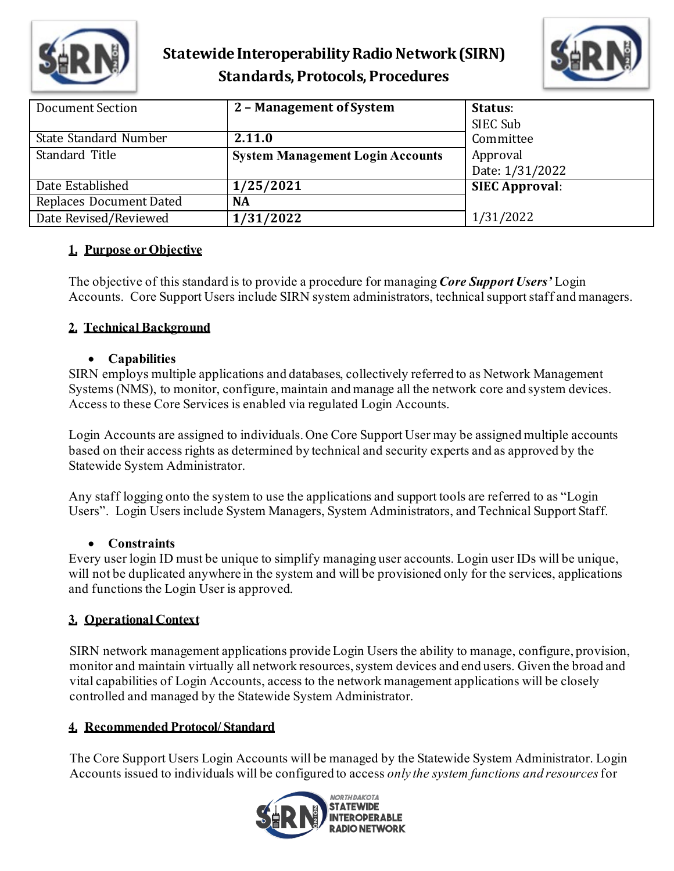

## **Statewide Interoperability Radio Network(SIRN) Standards, Protocols, Procedures**



| Document Section        | 2 - Management of System                | Status:<br>SIEC Sub         |
|-------------------------|-----------------------------------------|-----------------------------|
| State Standard Number   | 2.11.0                                  | Committee                   |
| Standard Title          | <b>System Management Login Accounts</b> | Approval<br>Date: 1/31/2022 |
| Date Established        | 1/25/2021                               | <b>SIEC Approval:</b>       |
| Replaces Document Dated | <b>NA</b>                               |                             |
| Date Revised/Reviewed   | 1/31/2022                               | 1/31/2022                   |

## **1. Purpose or Objective**

The objective of this standard is to provide a procedure for managing *Core Support Users'* Login Accounts. Core Support Users include SIRN system administrators, technical support staff and managers.

## **2. Technical Background**

#### • **Capabilities**

SIRN employs multiple applications and databases, collectively referred to as Network Management Systems (NMS), to monitor, configure, maintain and manage all the network core and system devices. Access to these Core Services is enabled via regulated Login Accounts.

Login Accounts are assigned to individuals. One Core Support User may be assigned multiple accounts based on their access rights as determined by technical and security experts and as approved by the Statewide System Administrator.

Any staff logging onto the system to use the applications and support tools are referred to as "Login Users". Login Users include System Managers, System Administrators, and Technical Support Staff.

## • **Constraints**

Every user login ID must be unique to simplify managing user accounts. Login user IDs will be unique, will not be duplicated anywhere in the system and will be provisioned only for the services, applications and functions the Login User is approved.

## **3. Operational Context**

SIRN network management applications provide Login Users the ability to manage, configure, provision, monitor and maintain virtually all network resources, system devices and end users. Given the broad and vital capabilities of Login Accounts, access to the network management applications will be closely controlled and managed by the Statewide System Administrator.

## **4. Recommended Protocol/ Standard**

The Core Support Users Login Accounts will be managed by the Statewide System Administrator. Login Accounts issued to individuals will be configured to access *only the system functions and resources*for